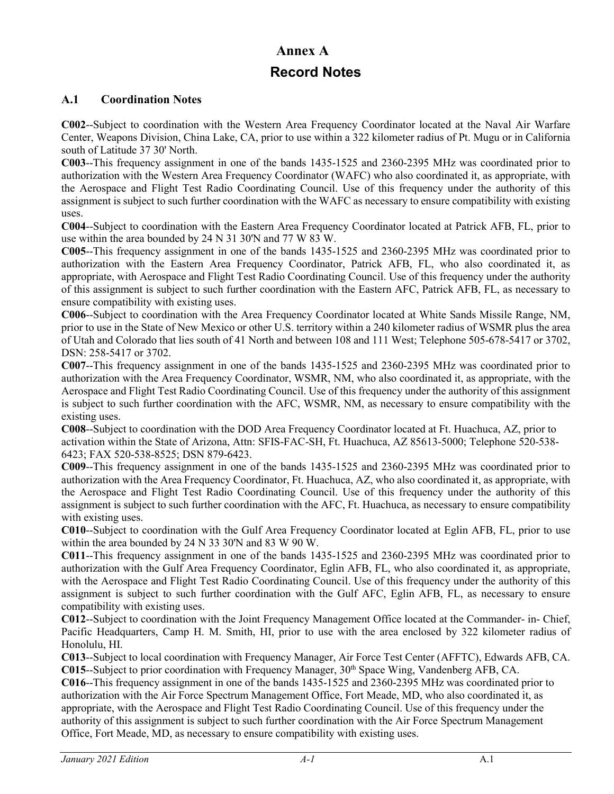# **Annex A Record Notes**

### **A.1 Coordination Notes**

**C002**--Subject to coordination with the Western Area Frequency Coordinator located at the Naval Air Warfare Center, Weapons Division, China Lake, CA, prior to use within a 322 kilometer radius of Pt. Mugu or in California south of Latitude 37 30' North.

**C003**--This frequency assignment in one of the bands 1435-1525 and 2360-2395 MHz was coordinated prior to authorization with the Western Area Frequency Coordinator (WAFC) who also coordinated it, as appropriate, with the Aerospace and Flight Test Radio Coordinating Council. Use of this frequency under the authority of this assignment is subject to such further coordination with the WAFC as necessary to ensure compatibility with existing uses.

**C004**--Subject to coordination with the Eastern Area Frequency Coordinator located at Patrick AFB, FL, prior to use within the area bounded by 24 N 31 30'N and 77 W 83 W.

**C005**--This frequency assignment in one of the bands 1435-1525 and 2360-2395 MHz was coordinated prior to authorization with the Eastern Area Frequency Coordinator, Patrick AFB, FL, who also coordinated it, as appropriate, with Aerospace and Flight Test Radio Coordinating Council. Use of this frequency under the authority of this assignment is subject to such further coordination with the Eastern AFC, Patrick AFB, FL, as necessary to ensure compatibility with existing uses.

**C006**--Subject to coordination with the Area Frequency Coordinator located at White Sands Missile Range, NM, prior to use in the State of New Mexico or other U.S. territory within a 240 kilometer radius of WSMR plus the area of Utah and Colorado that lies south of 41 North and between 108 and 111 West; Telephone 505-678-5417 or 3702, DSN: 258-5417 or 3702.

**C007**--This frequency assignment in one of the bands 1435-1525 and 2360-2395 MHz was coordinated prior to authorization with the Area Frequency Coordinator, WSMR, NM, who also coordinated it, as appropriate, with the Aerospace and Flight Test Radio Coordinating Council. Use of this frequency under the authority of this assignment is subject to such further coordination with the AFC, WSMR, NM, as necessary to ensure compatibility with the existing uses.

**C008**--Subject to coordination with the DOD Area Frequency Coordinator located at Ft. Huachuca, AZ, prior to activation within the State of Arizona, Attn: SFIS-FAC-SH, Ft. Huachuca, AZ 85613-5000; Telephone 520-538- 6423; FAX 520-538-8525; DSN 879-6423.

**C009**--This frequency assignment in one of the bands 1435-1525 and 2360-2395 MHz was coordinated prior to authorization with the Area Frequency Coordinator, Ft. Huachuca, AZ, who also coordinated it, as appropriate, with the Aerospace and Flight Test Radio Coordinating Council. Use of this frequency under the authority of this assignment is subject to such further coordination with the AFC, Ft. Huachuca, as necessary to ensure compatibility with existing uses.

**C010**--Subject to coordination with the Gulf Area Frequency Coordinator located at Eglin AFB, FL, prior to use within the area bounded by 24 N 33 30'N and 83 W 90 W.

**C011**--This frequency assignment in one of the bands 1435-1525 and 2360-2395 MHz was coordinated prior to authorization with the Gulf Area Frequency Coordinator, Eglin AFB, FL, who also coordinated it, as appropriate, with the Aerospace and Flight Test Radio Coordinating Council. Use of this frequency under the authority of this assignment is subject to such further coordination with the Gulf AFC, Eglin AFB, FL, as necessary to ensure compatibility with existing uses.

**C012**--Subject to coordination with the Joint Frequency Management Office located at the Commander- in- Chief, Pacific Headquarters, Camp H. M. Smith, HI, prior to use with the area enclosed by 322 kilometer radius of Honolulu, HI.

**C013**--Subject to local coordination with Frequency Manager, Air Force Test Center (AFFTC), Edwards AFB, CA. **C015**--Subject to prior coordination with Frequency Manager, 30<sup>th</sup> Space Wing, Vandenberg AFB, CA.

**C016**--This frequency assignment in one of the bands 1435-1525 and 2360-2395 MHz was coordinated prior to authorization with the Air Force Spectrum Management Office, Fort Meade, MD, who also coordinated it, as appropriate, with the Aerospace and Flight Test Radio Coordinating Council. Use of this frequency under the authority of this assignment is subject to such further coordination with the Air Force Spectrum Management Office, Fort Meade, MD, as necessary to ensure compatibility with existing uses.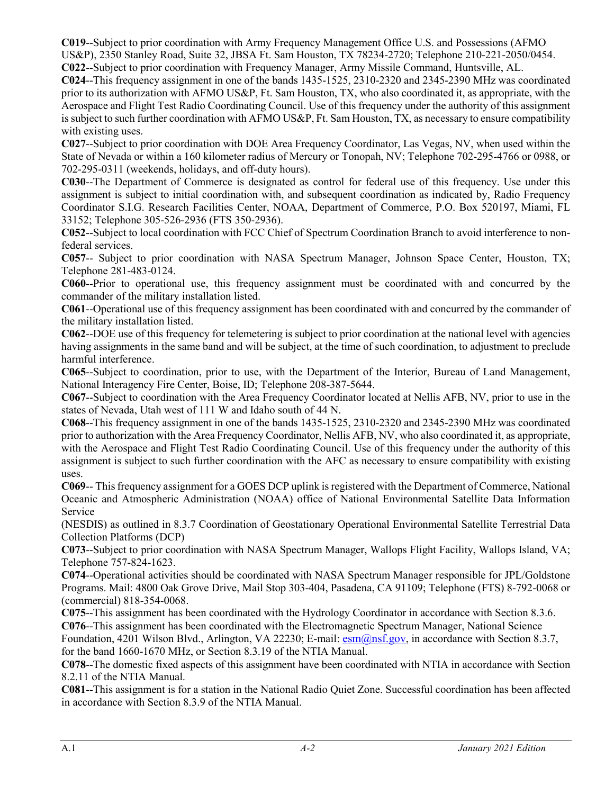**C019**--Subject to prior coordination with Army Frequency Management Office U.S. and Possessions (AFMO US&P), 2350 Stanley Road, Suite 32, JBSA Ft. Sam Houston, TX 78234-2720; Telephone 210-221-2050/0454. **C022**--Subject to prior coordination with Frequency Manager, Army Missile Command, Huntsville, AL.

**C024**--This frequency assignment in one of the bands 1435-1525, 2310-2320 and 2345-2390 MHz was coordinated prior to its authorization with AFMO US&P, Ft. Sam Houston, TX, who also coordinated it, as appropriate, with the Aerospace and Flight Test Radio Coordinating Council. Use of this frequency under the authority of this assignment is subject to such further coordination with AFMO US&P, Ft. Sam Houston, TX, as necessary to ensure compatibility with existing uses.

**C027**--Subject to prior coordination with DOE Area Frequency Coordinator, Las Vegas, NV, when used within the State of Nevada or within a 160 kilometer radius of Mercury or Tonopah, NV; Telephone 702-295-4766 or 0988, or 702-295-0311 (weekends, holidays, and off-duty hours).

**C030**--The Department of Commerce is designated as control for federal use of this frequency. Use under this assignment is subject to initial coordination with, and subsequent coordination as indicated by, Radio Frequency Coordinator S.I.G. Research Facilities Center, NOAA, Department of Commerce, P.O. Box 520197, Miami, FL 33152; Telephone 305-526-2936 (FTS 350-2936).

**C052**--Subject to local coordination with FCC Chief of Spectrum Coordination Branch to avoid interference to nonfederal services.

**C057**-- Subject to prior coordination with NASA Spectrum Manager, Johnson Space Center, Houston, TX; Telephone 281-483-0124.

**C060**--Prior to operational use, this frequency assignment must be coordinated with and concurred by the commander of the military installation listed.

**C061**--Operational use of this frequency assignment has been coordinated with and concurred by the commander of the military installation listed.

**C062**--DOE use of this frequency for telemetering is subject to prior coordination at the national level with agencies having assignments in the same band and will be subject, at the time of such coordination, to adjustment to preclude harmful interference.

**C065**--Subject to coordination, prior to use, with the Department of the Interior, Bureau of Land Management, National Interagency Fire Center, Boise, ID; Telephone 208-387-5644.

**C067**--Subject to coordination with the Area Frequency Coordinator located at Nellis AFB, NV, prior to use in the states of Nevada, Utah west of 111 W and Idaho south of 44 N.

**C068**--This frequency assignment in one of the bands 1435-1525, 2310-2320 and 2345-2390 MHz was coordinated prior to authorization with the Area Frequency Coordinator, Nellis AFB, NV, who also coordinated it, as appropriate, with the Aerospace and Flight Test Radio Coordinating Council. Use of this frequency under the authority of this assignment is subject to such further coordination with the AFC as necessary to ensure compatibility with existing uses.

**C069**-- This frequency assignment for a GOES DCP uplink is registered with the Department of Commerce, National Oceanic and Atmospheric Administration (NOAA) office of National Environmental Satellite Data Information Service

(NESDIS) as outlined in 8.3.7 Coordination of Geostationary Operational Environmental Satellite Terrestrial Data Collection Platforms (DCP)

**C073**--Subject to prior coordination with NASA Spectrum Manager, Wallops Flight Facility, Wallops Island, VA; Telephone 757-824-1623.

**C074**--Operational activities should be coordinated with NASA Spectrum Manager responsible for JPL/Goldstone Programs. Mail: 4800 Oak Grove Drive, Mail Stop 303-404, Pasadena, CA 91109; Telephone (FTS) 8-792-0068 or (commercial) 818-354-0068.

**C075**--This assignment has been coordinated with the Hydrology Coordinator in accordance with Section 8.3.6. **C076**--This assignment has been coordinated with the Electromagnetic Spectrum Manager, National Science

Foundation, 4201 Wilson Blvd., Arlington, VA 22230; E-mail[: esm@nsf.gov,](mailto:esm@nsf.gov) in accordance with Section 8.3.7, for the band 1660-1670 MHz, or Section 8.3.19 of the NTIA Manual.

**C078**--The domestic fixed aspects of this assignment have been coordinated with NTIA in accordance with Section 8.2.11 of the NTIA Manual.

**C081**--This assignment is for a station in the National Radio Quiet Zone. Successful coordination has been affected in accordance with Section 8.3.9 of the NTIA Manual.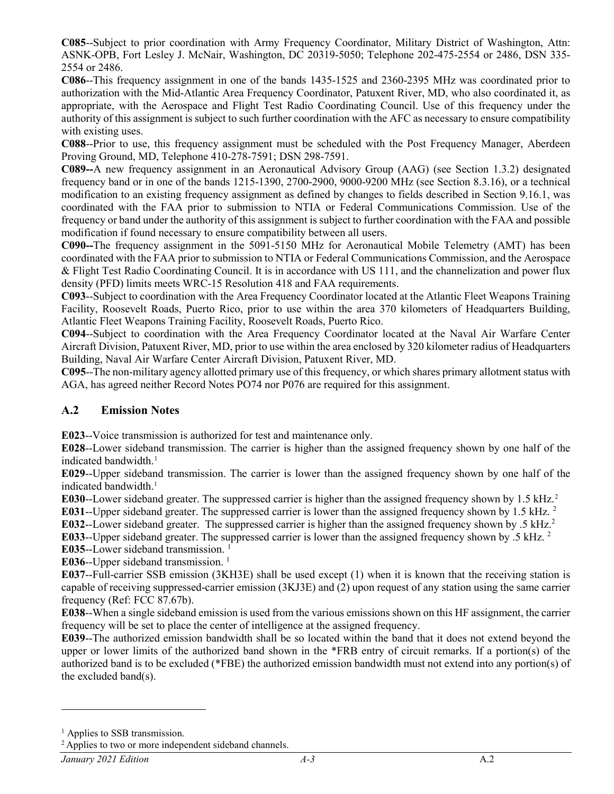**C085**--Subject to prior coordination with Army Frequency Coordinator, Military District of Washington, Attn: ASNK-OPB, Fort Lesley J. McNair, Washington, DC 20319-5050; Telephone 202-475-2554 or 2486, DSN 335- 2554 or 2486.

**C086**--This frequency assignment in one of the bands 1435-1525 and 2360-2395 MHz was coordinated prior to authorization with the Mid-Atlantic Area Frequency Coordinator, Patuxent River, MD, who also coordinated it, as appropriate, with the Aerospace and Flight Test Radio Coordinating Council. Use of this frequency under the authority of this assignment is subject to such further coordination with the AFC as necessary to ensure compatibility with existing uses.

**C088**--Prior to use, this frequency assignment must be scheduled with the Post Frequency Manager, Aberdeen Proving Ground, MD, Telephone 410-278-7591; DSN 298-7591.

**C089--**A new frequency assignment in an Aeronautical Advisory Group (AAG) (see Section 1.3.2) designated frequency band or in one of the bands 1215-1390, 2700-2900, 9000-9200 MHz (see Section 8.3.16), or a technical modification to an existing frequency assignment as defined by changes to fields described in Section 9.16.1, was coordinated with the FAA prior to submission to NTIA or Federal Communications Commission. Use of the frequency or band under the authority of this assignment is subject to further coordination with the FAA and possible modification if found necessary to ensure compatibility between all users.

**C090--**The frequency assignment in the 5091-5150 MHz for Aeronautical Mobile Telemetry (AMT) has been coordinated with the FAA prior to submission to NTIA or Federal Communications Commission, and the Aerospace & Flight Test Radio Coordinating Council. It is in accordance with US 111, and the channelization and power flux density (PFD) limits meets WRC-15 Resolution 418 and FAA requirements.

**C093**--Subject to coordination with the Area Frequency Coordinator located at the Atlantic Fleet Weapons Training Facility, Roosevelt Roads, Puerto Rico, prior to use within the area 370 kilometers of Headquarters Building, Atlantic Fleet Weapons Training Facility, Roosevelt Roads, Puerto Rico.

**C094**--Subject to coordination with the Area Frequency Coordinator located at the Naval Air Warfare Center Aircraft Division, Patuxent River, MD, prior to use within the area enclosed by 320 kilometer radius of Headquarters Building, Naval Air Warfare Center Aircraft Division, Patuxent River, MD.

**C095**--The non-military agency allotted primary use of this frequency, or which shares primary allotment status with AGA, has agreed neither Record Notes PO74 nor P076 are required for this assignment.

#### **A.2 Emission Notes**

**E023**--Voice transmission is authorized for test and maintenance only.

<span id="page-2-1"></span>**E028**--Lower sideband transmission. The carrier is higher than the assigned frequency shown by one half of the indicated bandwidth.<sup>[1](#page-2-2)</sup>

**E029**--Upper sideband transmission. The carrier is lower than the assigned frequency shown by one half of the indicated bandwidth.<sup>1</sup>

<span id="page-2-0"></span>**E030**--Lower sideband greater. The suppressed carrier is higher than the assigned frequency shown by 1.5 kHz.<sup>[2](#page-2-3)</sup>

**E031**--Upper sideband greater. The suppressed carrier is lower than the assigned frequency shown by 1.5 kHz. [2](#page-2-0)

**E032--Lower sideband greater.** The suppressed carrier is higher than the assigned frequency shown by .5 kHz.<sup>2</sup>

**E033**--Upper sideband greater. The suppressed carrier is lower than the assigned frequency shown by .5 kHz. [2](#page-2-0)

**E035**--Lower sideband transmission.<sup>1</sup>

**E036**--Upper sideband transmission.<sup>1</sup>

**E037**--Full-carrier SSB emission (3KH3E) shall be used except (1) when it is known that the receiving station is capable of receiving suppressed-carrier emission (3KJ3E) and (2) upon request of any station using the same carrier frequency (Ref: FCC 87.67b).

**E038**--When a single sideband emission is used from the various emissions shown on this HF assignment, the carrier frequency will be set to place the center of intelligence at the assigned frequency.

**E039**--The authorized emission bandwidth shall be so located within the band that it does not extend beyond the upper or lower limits of the authorized band shown in the \*FRB entry of circuit remarks. If a portion(s) of the authorized band is to be excluded (\*FBE) the authorized emission bandwidth must not extend into any portion(s) of the excluded band(s).

 $\overline{a}$ 

<span id="page-2-2"></span><sup>&</sup>lt;sup>1</sup> Applies to SSB transmission.

<span id="page-2-3"></span><sup>&</sup>lt;sup>2</sup> Applies to two or more independent sideband channels.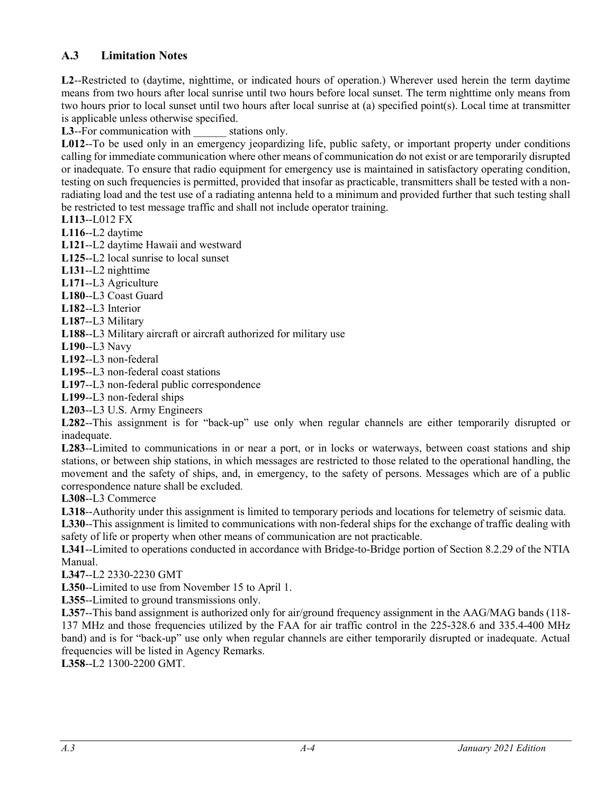# **A.3 Limitation Notes**

**L2**--Restricted to (daytime, nighttime, or indicated hours of operation.) Wherever used herein the term daytime means from two hours after local sunrise until two hours before local sunset. The term nighttime only means from two hours prior to local sunset until two hours after local sunrise at (a) specified point(s). Local time at transmitter is applicable unless otherwise specified.

L3--For communication with stations only.

**L012**--To be used only in an emergency jeopardizing life, public safety, or important property under conditions calling for immediate communication where other means of communication do not exist or are temporarily disrupted or inadequate. To ensure that radio equipment for emergency use is maintained in satisfactory operating condition, testing on such frequencies is permitted, provided that insofar as practicable, transmitters shall be tested with a nonradiating load and the test use of a radiating antenna held to a minimum and provided further that such testing shall be restricted to test message traffic and shall not include operator training.

**L113**--L012 FX

**L116**--L2 daytime

**L121**--L2 daytime Hawaii and westward

**L125**--L2 local sunrise to local sunset

**L131**--L2 nighttime

**L171**--L3 Agriculture

**L180**--L3 Coast Guard

**L182**--L3 Interior

**L187**--L3 Military

**L188**--L3 Military aircraft or aircraft authorized for military use

**L190**--L3 Navy

**L192**--L3 non-federal

**L195**--L3 non-federal coast stations

**L197**--L3 non-federal public correspondence

**L199**--L3 non-federal ships

**L203**--L3 U.S. Army Engineers

**L282**--This assignment is for "back-up" use only when regular channels are either temporarily disrupted or inadequate.

**L283**--Limited to communications in or near a port, or in locks or waterways, between coast stations and ship stations, or between ship stations, in which messages are restricted to those related to the operational handling, the movement and the safety of ships, and, in emergency, to the safety of persons. Messages which are of a public correspondence nature shall be excluded.

**L308**--L3 Commerce

**L318**--Authority under this assignment is limited to temporary periods and locations for telemetry of seismic data.

**L330**--This assignment is limited to communications with non-federal ships for the exchange of traffic dealing with safety of life or property when other means of communication are not practicable.

**L341**--Limited to operations conducted in accordance with Bridge-to-Bridge portion of Section 8.2.29 of the NTIA Manual.

**L347**--L2 2330-2230 GMT

**L350**--Limited to use from November 15 to April 1.

**L355**--Limited to ground transmissions only.

**L357**--This band assignment is authorized only for air/ground frequency assignment in the AAG/MAG bands (118- 137 MHz and those frequencies utilized by the FAA for air traffic control in the 225-328.6 and 335.4-400 MHz band) and is for "back-up" use only when regular channels are either temporarily disrupted or inadequate. Actual frequencies will be listed in Agency Remarks.

**L358**--L2 1300-2200 GMT.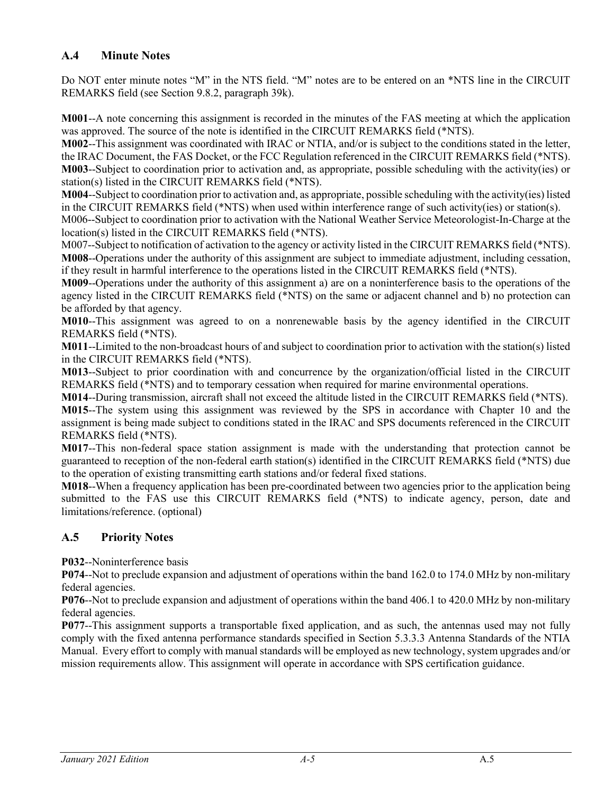# **A.4 Minute Notes**

Do NOT enter minute notes "M" in the NTS field. "M" notes are to be entered on an \*NTS line in the CIRCUIT REMARKS field (see Section 9.8.2, paragraph 39k).

**M001**--A note concerning this assignment is recorded in the minutes of the FAS meeting at which the application was approved. The source of the note is identified in the CIRCUIT REMARKS field (\*NTS).

**M002**--This assignment was coordinated with IRAC or NTIA, and/or is subject to the conditions stated in the letter, the IRAC Document, the FAS Docket, or the FCC Regulation referenced in the CIRCUIT REMARKS field (\*NTS). **M003**--Subject to coordination prior to activation and, as appropriate, possible scheduling with the activity(ies) or station(s) listed in the CIRCUIT REMARKS field (\*NTS).

**M004**--Subject to coordination prior to activation and, as appropriate, possible scheduling with the activity(ies) listed in the CIRCUIT REMARKS field (\*NTS) when used within interference range of such activity(ies) or station(s).

M006--Subject to coordination prior to activation with the National Weather Service Meteorologist-In-Charge at the location(s) listed in the CIRCUIT REMARKS field (\*NTS).

M007--Subject to notification of activation to the agency or activity listed in the CIRCUIT REMARKS field (\*NTS). **M008**--Operations under the authority of this assignment are subject to immediate adjustment, including cessation, if they result in harmful interference to the operations listed in the CIRCUIT REMARKS field (\*NTS).

**M009**--Operations under the authority of this assignment a) are on a noninterference basis to the operations of the agency listed in the CIRCUIT REMARKS field (\*NTS) on the same or adjacent channel and b) no protection can be afforded by that agency.

**M010**--This assignment was agreed to on a nonrenewable basis by the agency identified in the CIRCUIT REMARKS field (\*NTS).

**M011**--Limited to the non-broadcast hours of and subject to coordination prior to activation with the station(s) listed in the CIRCUIT REMARKS field (\*NTS).

**M013**--Subject to prior coordination with and concurrence by the organization/official listed in the CIRCUIT REMARKS field (\*NTS) and to temporary cessation when required for marine environmental operations.

**M014**--During transmission, aircraft shall not exceed the altitude listed in the CIRCUIT REMARKS field (\*NTS). **M015**--The system using this assignment was reviewed by the SPS in accordance with Chapter 10 and the assignment is being made subject to conditions stated in the IRAC and SPS documents referenced in the CIRCUIT REMARKS field (\*NTS).

**M017**--This non-federal space station assignment is made with the understanding that protection cannot be guaranteed to reception of the non-federal earth station(s) identified in the CIRCUIT REMARKS field (\*NTS) due to the operation of existing transmitting earth stations and/or federal fixed stations.

**M018**--When a frequency application has been pre-coordinated between two agencies prior to the application being submitted to the FAS use this CIRCUIT REMARKS field (\*NTS) to indicate agency, person, date and limitations/reference. (optional)

## **A.5 Priority Notes**

**P032**--Noninterference basis

**P074**--Not to preclude expansion and adjustment of operations within the band 162.0 to 174.0 MHz by non-military federal agencies.

**P076**--Not to preclude expansion and adjustment of operations within the band 406.1 to 420.0 MHz by non-military federal agencies.

**P077**--This assignment supports a transportable fixed application, and as such, the antennas used may not fully comply with the fixed antenna performance standards specified in Section 5.3.3.3 Antenna Standards of the NTIA Manual. Every effort to comply with manual standards will be employed as new technology, system upgrades and/or mission requirements allow. This assignment will operate in accordance with SPS certification guidance.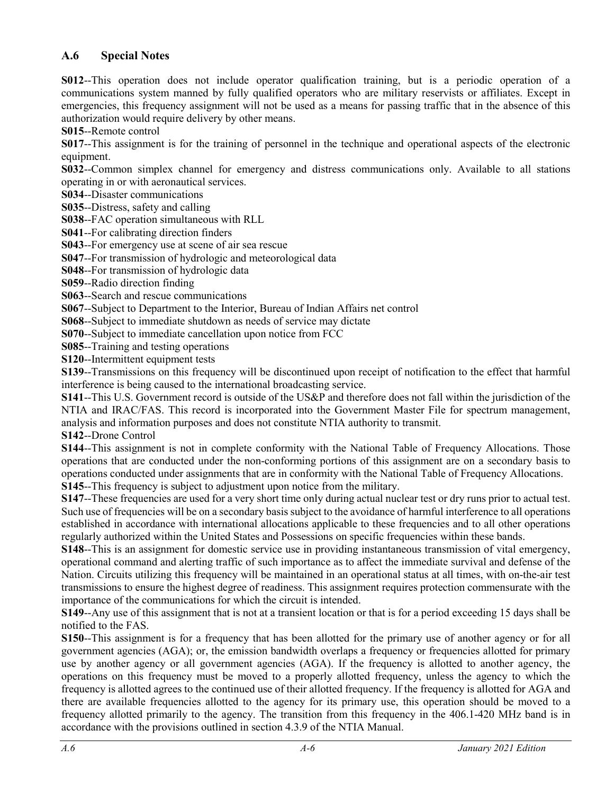# **A.6 Special Notes**

**S012**--This operation does not include operator qualification training, but is a periodic operation of a communications system manned by fully qualified operators who are military reservists or affiliates. Except in emergencies, this frequency assignment will not be used as a means for passing traffic that in the absence of this authorization would require delivery by other means.

**S015**--Remote control

**S017**--This assignment is for the training of personnel in the technique and operational aspects of the electronic equipment.

**S032**--Common simplex channel for emergency and distress communications only. Available to all stations operating in or with aeronautical services.

**S034**--Disaster communications

**S035**--Distress, safety and calling

**S038**--FAC operation simultaneous with RLL

**S041**--For calibrating direction finders

**S043**--For emergency use at scene of air sea rescue

**S047**--For transmission of hydrologic and meteorological data

**S048**--For transmission of hydrologic data

**S059**--Radio direction finding

**S063**--Search and rescue communications

**S067**--Subject to Department to the Interior, Bureau of Indian Affairs net control

**S068**--Subject to immediate shutdown as needs of service may dictate

**S070**--Subject to immediate cancellation upon notice from FCC

**S085**--Training and testing operations

**S120**--Intermittent equipment tests

**S139**--Transmissions on this frequency will be discontinued upon receipt of notification to the effect that harmful interference is being caused to the international broadcasting service.

**S141**--This U.S. Government record is outside of the US&P and therefore does not fall within the jurisdiction of the NTIA and IRAC/FAS. This record is incorporated into the Government Master File for spectrum management, analysis and information purposes and does not constitute NTIA authority to transmit.

**S142**--Drone Control

**S144**--This assignment is not in complete conformity with the National Table of Frequency Allocations. Those operations that are conducted under the non-conforming portions of this assignment are on a secondary basis to operations conducted under assignments that are in conformity with the National Table of Frequency Allocations.

**S145**--This frequency is subject to adjustment upon notice from the military.

**S147**--These frequencies are used for a very short time only during actual nuclear test or dry runs prior to actual test. Such use of frequencies will be on a secondary basis subject to the avoidance of harmful interference to all operations established in accordance with international allocations applicable to these frequencies and to all other operations regularly authorized within the United States and Possessions on specific frequencies within these bands.

**S148**--This is an assignment for domestic service use in providing instantaneous transmission of vital emergency, operational command and alerting traffic of such importance as to affect the immediate survival and defense of the Nation. Circuits utilizing this frequency will be maintained in an operational status at all times, with on-the-air test transmissions to ensure the highest degree of readiness. This assignment requires protection commensurate with the importance of the communications for which the circuit is intended.

**S149**--Any use of this assignment that is not at a transient location or that is for a period exceeding 15 days shall be notified to the FAS.

**S150**--This assignment is for a frequency that has been allotted for the primary use of another agency or for all government agencies (AGA); or, the emission bandwidth overlaps a frequency or frequencies allotted for primary use by another agency or all government agencies (AGA). If the frequency is allotted to another agency, the operations on this frequency must be moved to a properly allotted frequency, unless the agency to which the frequency is allotted agrees to the continued use of their allotted frequency. If the frequency is allotted for AGA and there are available frequencies allotted to the agency for its primary use, this operation should be moved to a frequency allotted primarily to the agency. The transition from this frequency in the 406.1-420 MHz band is in accordance with the provisions outlined in section 4.3.9 of the NTIA Manual.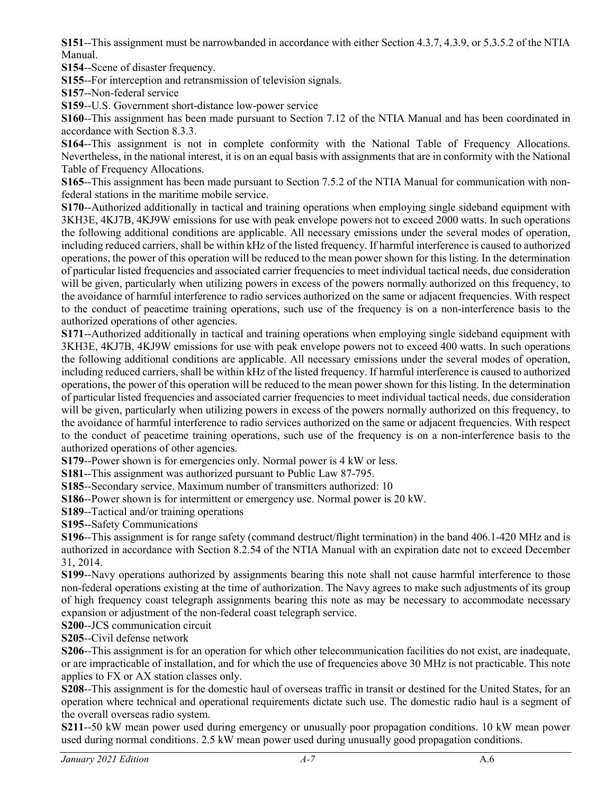**S151**--This assignment must be narrowbanded in accordance with either Section 4.3.7, 4.3.9, or 5.3.5.2 of the NTIA Manual.

**S154**--Scene of disaster frequency.

**S155**--For interception and retransmission of television signals.

**S157**--Non-federal service

**S159**--U.S. Government short-distance low-power service

**S160**--This assignment has been made pursuant to Section 7.12 of the NTIA Manual and has been coordinated in accordance with Section 8.3.3.

**S164**--This assignment is not in complete conformity with the National Table of Frequency Allocations. Nevertheless, in the national interest, it is on an equal basis with assignments that are in conformity with the National Table of Frequency Allocations.

**S165**--This assignment has been made pursuant to Section 7.5.2 of the NTIA Manual for communication with nonfederal stations in the maritime mobile service.

**S170**--Authorized additionally in tactical and training operations when employing single sideband equipment with 3KH3E, 4KJ7B, 4KJ9W emissions for use with peak envelope powers not to exceed 2000 watts. In such operations the following additional conditions are applicable. All necessary emissions under the several modes of operation, including reduced carriers, shall be within kHz of the listed frequency. If harmful interference is caused to authorized operations, the power of this operation will be reduced to the mean power shown for this listing. In the determination of particular listed frequencies and associated carrier frequencies to meet individual tactical needs, due consideration will be given, particularly when utilizing powers in excess of the powers normally authorized on this frequency, to the avoidance of harmful interference to radio services authorized on the same or adjacent frequencies. With respect to the conduct of peacetime training operations, such use of the frequency is on a non-interference basis to the authorized operations of other agencies.

**S171**--Authorized additionally in tactical and training operations when employing single sideband equipment with 3KH3E, 4KJ7B, 4KJ9W emissions for use with peak envelope powers not to exceed 400 watts. In such operations the following additional conditions are applicable. All necessary emissions under the several modes of operation, including reduced carriers, shall be within kHz of the listed frequency. If harmful interference is caused to authorized operations, the power of this operation will be reduced to the mean power shown for this listing. In the determination of particular listed frequencies and associated carrier frequencies to meet individual tactical needs, due consideration will be given, particularly when utilizing powers in excess of the powers normally authorized on this frequency, to the avoidance of harmful interference to radio services authorized on the same or adjacent frequencies. With respect to the conduct of peacetime training operations, such use of the frequency is on a non-interference basis to the authorized operations of other agencies.

**S179**--Power shown is for emergencies only. Normal power is 4 kW or less.

**S181**--This assignment was authorized pursuant to Public Law 87-795.

**S185**--Secondary service. Maximum number of transmitters authorized: 10

**S186**--Power shown is for intermittent or emergency use. Normal power is 20 kW.

**S189**--Tactical and/or training operations

**S195**--Safety Communications

**S196**--This assignment is for range safety (command destruct/flight termination) in the band 406.1-420 MHz and is authorized in accordance with Section 8.2.54 of the NTIA Manual with an expiration date not to exceed December 31, 2014.

**S199**--Navy operations authorized by assignments bearing this note shall not cause harmful interference to those non-federal operations existing at the time of authorization. The Navy agrees to make such adjustments of its group of high frequency coast telegraph assignments bearing this note as may be necessary to accommodate necessary expansion or adjustment of the non-federal coast telegraph service.

**S200**--JCS communication circuit

**S205**--Civil defense network

**S206**--This assignment is for an operation for which other telecommunication facilities do not exist, are inadequate, or are impracticable of installation, and for which the use of frequencies above 30 MHz is not practicable. This note applies to FX or AX station classes only.

**S208**--This assignment is for the domestic haul of overseas traffic in transit or destined for the United States, for an operation where technical and operational requirements dictate such use. The domestic radio haul is a segment of the overall overseas radio system.

**S211**--50 kW mean power used during emergency or unusually poor propagation conditions. 10 kW mean power used during normal conditions. 2.5 kW mean power used during unusually good propagation conditions.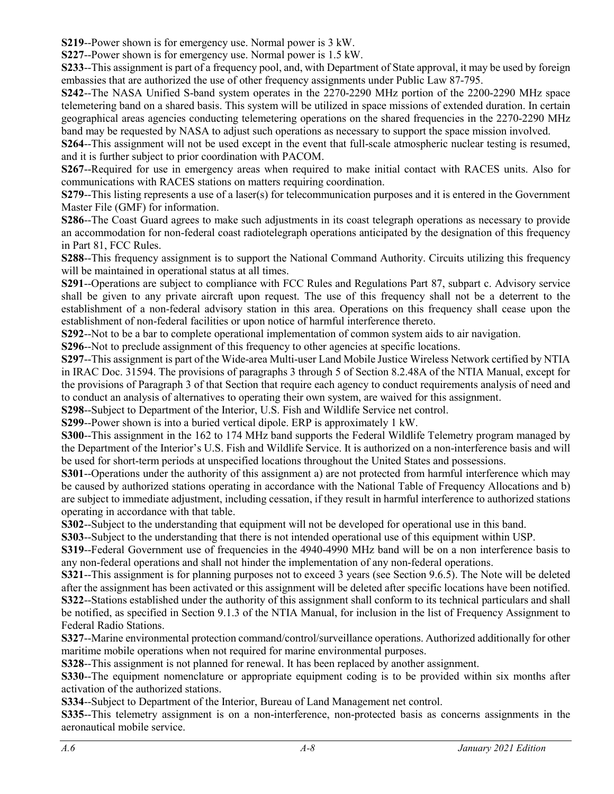**S219**--Power shown is for emergency use. Normal power is 3 kW.

**S227**--Power shown is for emergency use. Normal power is 1.5 kW.

**S233**--This assignment is part of a frequency pool, and, with Department of State approval, it may be used by foreign embassies that are authorized the use of other frequency assignments under Public Law 87-795.

**S242**--The NASA Unified S-band system operates in the 2270-2290 MHz portion of the 2200-2290 MHz space telemetering band on a shared basis. This system will be utilized in space missions of extended duration. In certain geographical areas agencies conducting telemetering operations on the shared frequencies in the 2270-2290 MHz band may be requested by NASA to adjust such operations as necessary to support the space mission involved.

**S264**--This assignment will not be used except in the event that full-scale atmospheric nuclear testing is resumed, and it is further subject to prior coordination with PACOM.

**S267**--Required for use in emergency areas when required to make initial contact with RACES units. Also for communications with RACES stations on matters requiring coordination.

**S279**--This listing represents a use of a laser(s) for telecommunication purposes and it is entered in the Government Master File (GMF) for information.

**S286**--The Coast Guard agrees to make such adjustments in its coast telegraph operations as necessary to provide an accommodation for non-federal coast radiotelegraph operations anticipated by the designation of this frequency in Part 81, FCC Rules.

**S288**--This frequency assignment is to support the National Command Authority. Circuits utilizing this frequency will be maintained in operational status at all times.

**S291**--Operations are subject to compliance with FCC Rules and Regulations Part 87, subpart c. Advisory service shall be given to any private aircraft upon request. The use of this frequency shall not be a deterrent to the establishment of a non-federal advisory station in this area. Operations on this frequency shall cease upon the establishment of non-federal facilities or upon notice of harmful interference thereto.

**S292**--Not to be a bar to complete operational implementation of common system aids to air navigation.

**S296**--Not to preclude assignment of this frequency to other agencies at specific locations.

**S297**--This assignment is part of the Wide-area Multi-user Land Mobile Justice Wireless Network certified by NTIA in IRAC Doc. 31594. The provisions of paragraphs 3 through 5 of Section 8.2.48A of the NTIA Manual, except for the provisions of Paragraph 3 of that Section that require each agency to conduct requirements analysis of need and to conduct an analysis of alternatives to operating their own system, are waived for this assignment. **S298**--Subject to Department of the Interior, U.S. Fish and Wildlife Service net control.

**S299**--Power shown is into a buried vertical dipole. ERP is approximately 1 kW.

**S300**--This assignment in the 162 to 174 MHz band supports the Federal Wildlife Telemetry program managed by the Department of the Interior's U.S. Fish and Wildlife Service. It is authorized on a non-interference basis and will be used for short-term periods at unspecified locations throughout the United States and possessions.

**S301**--Operations under the authority of this assignment a) are not protected from harmful interference which may be caused by authorized stations operating in accordance with the National Table of Frequency Allocations and b) are subject to immediate adjustment, including cessation, if they result in harmful interference to authorized stations operating in accordance with that table.

**S302**--Subject to the understanding that equipment will not be developed for operational use in this band.

**S303**--Subject to the understanding that there is not intended operational use of this equipment within USP.

**S319**--Federal Government use of frequencies in the 4940-4990 MHz band will be on a non interference basis to any non-federal operations and shall not hinder the implementation of any non-federal operations.

**S321**--This assignment is for planning purposes not to exceed 3 years (see Section 9.6.5). The Note will be deleted after the assignment has been activated or this assignment will be deleted after specific locations have been notified. **S322**--Stations established under the authority of this assignment shall conform to its technical particulars and shall be notified, as specified in Section 9.1.3 of the NTIA Manual, for inclusion in the list of Frequency Assignment to Federal Radio Stations.

**S327**--Marine environmental protection command/control/surveillance operations. Authorized additionally for other maritime mobile operations when not required for marine environmental purposes.

**S328**--This assignment is not planned for renewal. It has been replaced by another assignment.

**S330**--The equipment nomenclature or appropriate equipment coding is to be provided within six months after activation of the authorized stations.

**S334**--Subject to Department of the Interior, Bureau of Land Management net control.

**S335**--This telemetry assignment is on a non-interference, non-protected basis as concerns assignments in the aeronautical mobile service.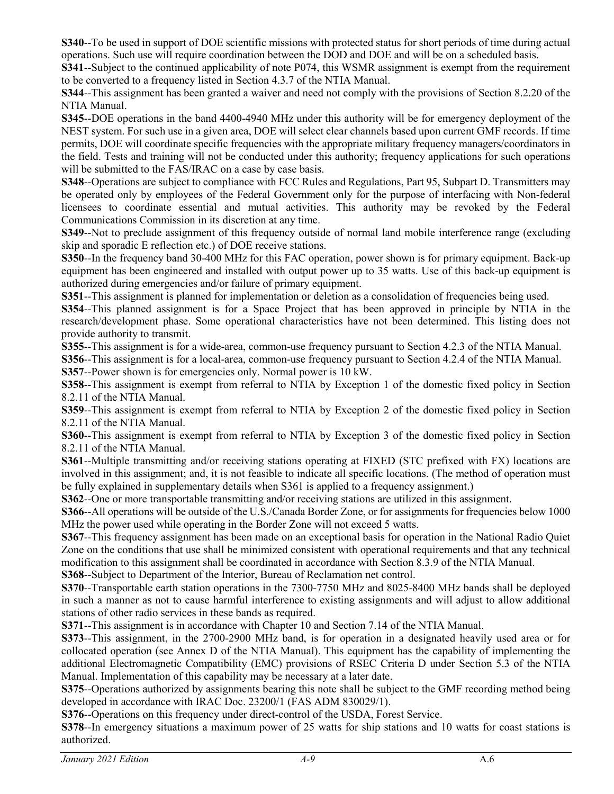**S340**--To be used in support of DOE scientific missions with protected status for short periods of time during actual operations. Such use will require coordination between the DOD and DOE and will be on a scheduled basis.

**S341**--Subject to the continued applicability of note P074, this WSMR assignment is exempt from the requirement to be converted to a frequency listed in Section 4.3.7 of the NTIA Manual.

**S344**--This assignment has been granted a waiver and need not comply with the provisions of Section 8.2.20 of the NTIA Manual.

**S345**--DOE operations in the band 4400-4940 MHz under this authority will be for emergency deployment of the NEST system. For such use in a given area, DOE will select clear channels based upon current GMF records. If time permits, DOE will coordinate specific frequencies with the appropriate military frequency managers/coordinators in the field. Tests and training will not be conducted under this authority; frequency applications for such operations will be submitted to the FAS/IRAC on a case by case basis.

**S348**--Operations are subject to compliance with FCC Rules and Regulations, Part 95, Subpart D. Transmitters may be operated only by employees of the Federal Government only for the purpose of interfacing with Non-federal licensees to coordinate essential and mutual activities. This authority may be revoked by the Federal Communications Commission in its discretion at any time.

**S349**--Not to preclude assignment of this frequency outside of normal land mobile interference range (excluding skip and sporadic E reflection etc.) of DOE receive stations.

**S350**--In the frequency band 30-400 MHz for this FAC operation, power shown is for primary equipment. Back-up equipment has been engineered and installed with output power up to 35 watts. Use of this back-up equipment is authorized during emergencies and/or failure of primary equipment.

**S351**--This assignment is planned for implementation or deletion as a consolidation of frequencies being used.

**S354**--This planned assignment is for a Space Project that has been approved in principle by NTIA in the research/development phase. Some operational characteristics have not been determined. This listing does not provide authority to transmit.

**S355**--This assignment is for a wide-area, common-use frequency pursuant to Section 4.2.3 of the NTIA Manual.

**S356**--This assignment is for a local-area, common-use frequency pursuant to Section 4.2.4 of the NTIA Manual.

**S357**--Power shown is for emergencies only. Normal power is 10 kW.

**S358**--This assignment is exempt from referral to NTIA by Exception 1 of the domestic fixed policy in Section 8.2.11 of the NTIA Manual.

**S359**--This assignment is exempt from referral to NTIA by Exception 2 of the domestic fixed policy in Section 8.2.11 of the NTIA Manual.

**S360**--This assignment is exempt from referral to NTIA by Exception 3 of the domestic fixed policy in Section 8.2.11 of the NTIA Manual.

**S361**--Multiple transmitting and/or receiving stations operating at FIXED (STC prefixed with FX) locations are involved in this assignment; and, it is not feasible to indicate all specific locations. (The method of operation must be fully explained in supplementary details when S361 is applied to a frequency assignment.)

**S362**--One or more transportable transmitting and/or receiving stations are utilized in this assignment.

**S366**--All operations will be outside of the U.S./Canada Border Zone, or for assignments for frequencies below 1000 MHz the power used while operating in the Border Zone will not exceed 5 watts.

**S367**--This frequency assignment has been made on an exceptional basis for operation in the National Radio Quiet Zone on the conditions that use shall be minimized consistent with operational requirements and that any technical modification to this assignment shall be coordinated in accordance with Section 8.3.9 of the NTIA Manual. **S368**--Subject to Department of the Interior, Bureau of Reclamation net control.

**S370**--Transportable earth station operations in the 7300-7750 MHz and 8025-8400 MHz bands shall be deployed in such a manner as not to cause harmful interference to existing assignments and will adjust to allow additional stations of other radio services in these bands as required.

**S371**--This assignment is in accordance with Chapter 10 and Section 7.14 of the NTIA Manual.

**S373**--This assignment, in the 2700-2900 MHz band, is for operation in a designated heavily used area or for collocated operation (see Annex D of the NTIA Manual). This equipment has the capability of implementing the additional Electromagnetic Compatibility (EMC) provisions of RSEC Criteria D under Section 5.3 of the NTIA Manual. Implementation of this capability may be necessary at a later date.

**S375**--Operations authorized by assignments bearing this note shall be subject to the GMF recording method being developed in accordance with IRAC Doc. 23200/1 (FAS ADM 830029/1).

**S376**--Operations on this frequency under direct-control of the USDA, Forest Service.

**S378**--In emergency situations a maximum power of 25 watts for ship stations and 10 watts for coast stations is authorized.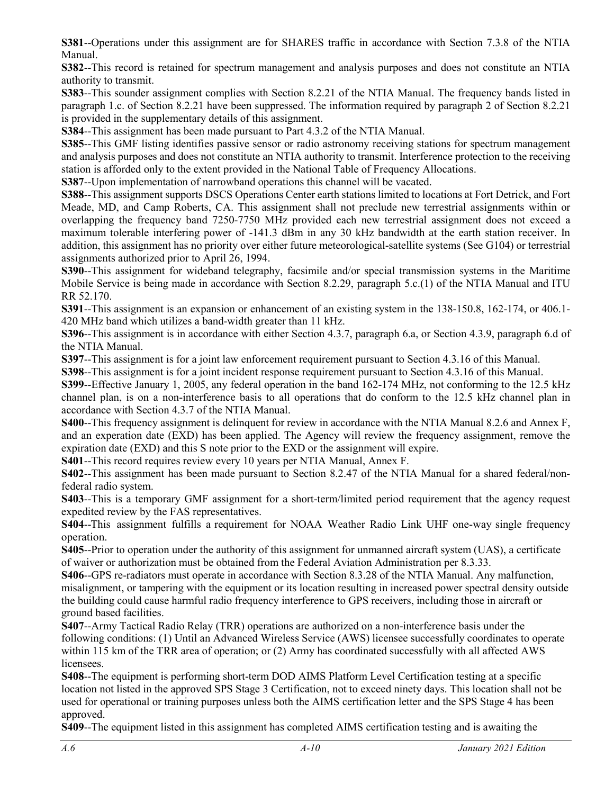**S381**--Operations under this assignment are for SHARES traffic in accordance with Section 7.3.8 of the NTIA Manual.

**S382**--This record is retained for spectrum management and analysis purposes and does not constitute an NTIA authority to transmit.

**S383**--This sounder assignment complies with Section 8.2.21 of the NTIA Manual. The frequency bands listed in paragraph 1.c. of Section 8.2.21 have been suppressed. The information required by paragraph 2 of Section 8.2.21 is provided in the supplementary details of this assignment.

**S384**--This assignment has been made pursuant to Part 4.3.2 of the NTIA Manual.

**S385**--This GMF listing identifies passive sensor or radio astronomy receiving stations for spectrum management and analysis purposes and does not constitute an NTIA authority to transmit. Interference protection to the receiving station is afforded only to the extent provided in the National Table of Frequency Allocations.

**S387**--Upon implementation of narrowband operations this channel will be vacated.

**S388**--This assignment supports DSCS Operations Center earth stations limited to locations at Fort Detrick, and Fort Meade, MD, and Camp Roberts, CA. This assignment shall not preclude new terrestrial assignments within or overlapping the frequency band 7250-7750 MHz provided each new terrestrial assignment does not exceed a maximum tolerable interfering power of -141.3 dBm in any 30 kHz bandwidth at the earth station receiver. In addition, this assignment has no priority over either future meteorological-satellite systems (See G104) or terrestrial assignments authorized prior to April 26, 1994.

**S390**--This assignment for wideband telegraphy, facsimile and/or special transmission systems in the Maritime Mobile Service is being made in accordance with Section 8.2.29, paragraph 5.c.(1) of the NTIA Manual and ITU RR 52.170.

**S391**--This assignment is an expansion or enhancement of an existing system in the 138-150.8, 162-174, or 406.1- 420 MHz band which utilizes a band-width greater than 11 kHz.

**S396**--This assignment is in accordance with either Section 4.3.7, paragraph 6.a, or Section 4.3.9, paragraph 6.d of the NTIA Manual.

**S397**--This assignment is for a joint law enforcement requirement pursuant to Section 4.3.16 of this Manual.

**S398**--This assignment is for a joint incident response requirement pursuant to Section 4.3.16 of this Manual.

**S399**--Effective January 1, 2005, any federal operation in the band 162-174 MHz, not conforming to the 12.5 kHz channel plan, is on a non-interference basis to all operations that do conform to the 12.5 kHz channel plan in accordance with Section 4.3.7 of the NTIA Manual.

**S400**--This frequency assignment is delinquent for review in accordance with the NTIA Manual 8.2.6 and Annex F, and an experation date (EXD) has been applied. The Agency will review the frequency assignment, remove the expiration date (EXD) and this S note prior to the EXD or the assignment will expire.

**S401**--This record requires review every 10 years per NTIA Manual, Annex F.

**S402**--This assignment has been made pursuant to Section 8.2.47 of the NTIA Manual for a shared federal/nonfederal radio system.

**S403**--This is a temporary GMF assignment for a short-term/limited period requirement that the agency request expedited review by the FAS representatives.

**S404**--This assignment fulfills a requirement for NOAA Weather Radio Link UHF one-way single frequency operation.

**S405**--Prior to operation under the authority of this assignment for unmanned aircraft system (UAS), a certificate of waiver or authorization must be obtained from the Federal Aviation Administration per 8.3.33.

**S406**--GPS re-radiators must operate in accordance with Section 8.3.28 of the NTIA Manual. Any malfunction, misalignment, or tampering with the equipment or its location resulting in increased power spectral density outside the building could cause harmful radio frequency interference to GPS receivers, including those in aircraft or ground based facilities.

**S407**--Army Tactical Radio Relay (TRR) operations are authorized on a non-interference basis under the following conditions: (1) Until an Advanced Wireless Service (AWS) licensee successfully coordinates to operate within 115 km of the TRR area of operation; or (2) Army has coordinated successfully with all affected AWS licensees.

**S408**--The equipment is performing short-term DOD AIMS Platform Level Certification testing at a specific location not listed in the approved SPS Stage 3 Certification, not to exceed ninety days. This location shall not be used for operational or training purposes unless both the AIMS certification letter and the SPS Stage 4 has been approved.

**S409**--The equipment listed in this assignment has completed AIMS certification testing and is awaiting the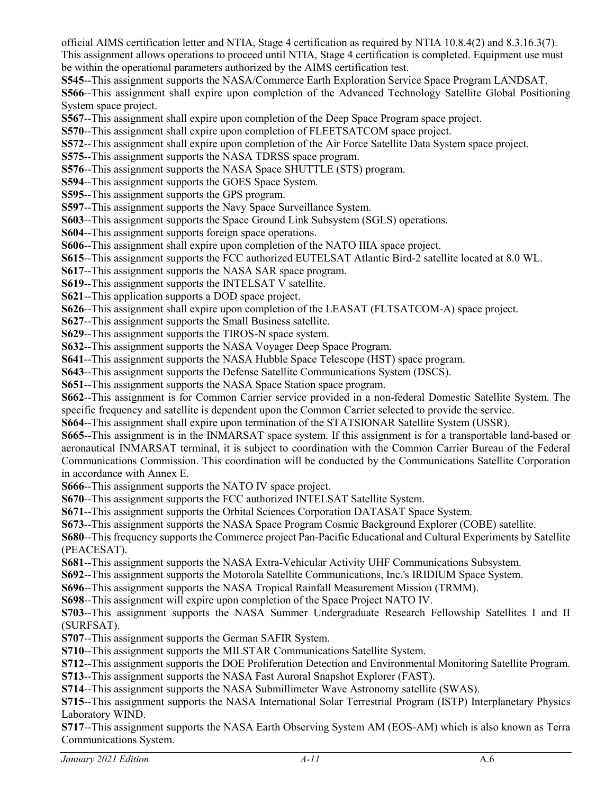official AIMS certification letter and NTIA, Stage 4 certification as required by NTIA 10.8.4(2) and 8.3.16.3(7). This assignment allows operations to proceed until NTIA, Stage 4 certification is completed. Equipment use must be within the operational parameters authorized by the AIMS certification test.

**S545**--This assignment supports the NASA/Commerce Earth Exploration Service Space Program LANDSAT.

**S566**--This assignment shall expire upon completion of the Advanced Technology Satellite Global Positioning System space project.

**S567**--This assignment shall expire upon completion of the Deep Space Program space project.

**S570**--This assignment shall expire upon completion of FLEETSATCOM space project.

**S572**--This assignment shall expire upon completion of the Air Force Satellite Data System space project.

**S575**--This assignment supports the NASA TDRSS space program.

**S576**--This assignment supports the NASA Space SHUTTLE (STS) program.

**S594**--This assignment supports the GOES Space System.

**S595**--This assignment supports the GPS program.

**S597**--This assignment supports the Navy Space Surveillance System.

**S603**--This assignment supports the Space Ground Link Subsystem (SGLS) operations.

**S604**--This assignment supports foreign space operations.

**S606**--This assignment shall expire upon completion of the NATO IIIA space project.

**S615**--This assignment supports the FCC authorized EUTELSAT Atlantic Bird-2 satellite located at 8.0 WL.

**S617**--This assignment supports the NASA SAR space program.

**S619**--This assignment supports the INTELSAT V satellite.

**S621**--This application supports a DOD space project.

**S626**--This assignment shall expire upon completion of the LEASAT (FLTSATCOM-A) space project.

**S627**--This assignment supports the Small Business satellite.

**S629**--This assignment supports the TIROS-N space system.

**S632**--This assignment supports the NASA Voyager Deep Space Program.

**S641**--This assignment supports the NASA Hubble Space Telescope (HST) space program.

**S643**--This assignment supports the Defense Satellite Communications System (DSCS).

**S651**--This assignment supports the NASA Space Station space program.

**S662**--This assignment is for Common Carrier service provided in a non-federal Domestic Satellite System. The specific frequency and satellite is dependent upon the Common Carrier selected to provide the service.

**S664**--This assignment shall expire upon termination of the STATSIONAR Satellite System (USSR).

**S665**--This assignment is in the INMARSAT space system. If this assignment is for a transportable land-based or aeronautical INMARSAT terminal, it is subject to coordination with the Common Carrier Bureau of the Federal Communications Commission. This coordination will be conducted by the Communications Satellite Corporation in accordance with Annex E.

**S666**--This assignment supports the NATO IV space project.

**S670**--This assignment supports the FCC authorized INTELSAT Satellite System.

**S671**--This assignment supports the Orbital Sciences Corporation DATASAT Space System.

**S673**--This assignment supports the NASA Space Program Cosmic Background Explorer (COBE) satellite.

**S680**--This frequency supports the Commerce project Pan-Pacific Educational and Cultural Experiments by Satellite (PEACESAT).

**S681**--This assignment supports the NASA Extra-Vehicular Activity UHF Communications Subsystem.

**S692**--This assignment supports the Motorola Satellite Communications, Inc.'s IRIDIUM Space System.

**S696**--This assignment supports the NASA Tropical Rainfall Measurement Mission (TRMM).

**S698**--This assignment will expire upon completion of the Space Project NATO IV.

**S703**--This assignment supports the NASA Summer Undergraduate Research Fellowship Satellites I and II (SURFSAT).

**S707**--This assignment supports the German SAFIR System.

**S710**--This assignment supports the MILSTAR Communications Satellite System.

**S712**--This assignment supports the DOE Proliferation Detection and Environmental Monitoring Satellite Program.

**S713**--This assignment supports the NASA Fast Auroral Snapshot Explorer (FAST).

**S714**--This assignment supports the NASA Submillimeter Wave Astronomy satellite (SWAS).

**S715**--This assignment supports the NASA International Solar Terrestrial Program (ISTP) Interplanetary Physics Laboratory WIND.

**S717**--This assignment supports the NASA Earth Observing System AM (EOS-AM) which is also known as Terra Communications System.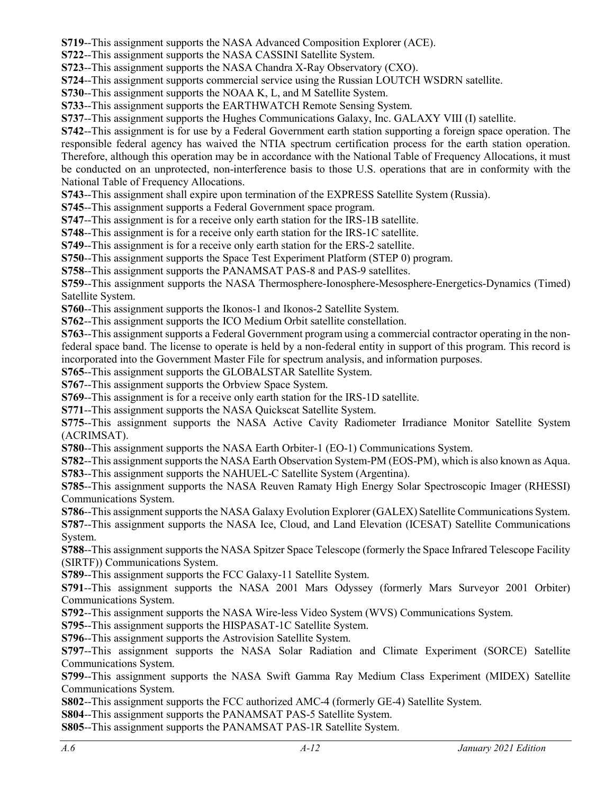**S719**--This assignment supports the NASA Advanced Composition Explorer (ACE).

**S722**--This assignment supports the NASA CASSINI Satellite System.

**S723**--This assignment supports the NASA Chandra X-Ray Observatory (CXO).

**S724**--This assignment supports commercial service using the Russian LOUTCH WSDRN satellite.

**S730**--This assignment supports the NOAA K, L, and M Satellite System.

**S733**--This assignment supports the EARTHWATCH Remote Sensing System.

**S737**--This assignment supports the Hughes Communications Galaxy, Inc. GALAXY VIII (I) satellite.

**S742**--This assignment is for use by a Federal Government earth station supporting a foreign space operation. The responsible federal agency has waived the NTIA spectrum certification process for the earth station operation. Therefore, although this operation may be in accordance with the National Table of Frequency Allocations, it must be conducted on an unprotected, non-interference basis to those U.S. operations that are in conformity with the National Table of Frequency Allocations.

**S743**--This assignment shall expire upon termination of the EXPRESS Satellite System (Russia).

**S745**--This assignment supports a Federal Government space program.

**S747**--This assignment is for a receive only earth station for the IRS-1B satellite.

**S748**--This assignment is for a receive only earth station for the IRS-1C satellite.

**S749**--This assignment is for a receive only earth station for the ERS-2 satellite.

**S750**--This assignment supports the Space Test Experiment Platform (STEP 0) program.

**S758**--This assignment supports the PANAMSAT PAS-8 and PAS-9 satellites.

**S759**--This assignment supports the NASA Thermosphere-Ionosphere-Mesosphere-Energetics-Dynamics (Timed) Satellite System.

**S760**--This assignment supports the Ikonos-1 and Ikonos-2 Satellite System.

**S762**--This assignment supports the ICO Medium Orbit satellite constellation.

**S763**--This assignment supports a Federal Government program using a commercial contractor operating in the nonfederal space band. The license to operate is held by a non-federal entity in support of this program. This record is incorporated into the Government Master File for spectrum analysis, and information purposes.

**S765**--This assignment supports the GLOBALSTAR Satellite System.

**S767**--This assignment supports the Orbview Space System.

**S769**--This assignment is for a receive only earth station for the IRS-1D satellite.

**S771**--This assignment supports the NASA Quickscat Satellite System.

**S775**--This assignment supports the NASA Active Cavity Radiometer Irradiance Monitor Satellite System (ACRIMSAT).

**S780**--This assignment supports the NASA Earth Orbiter-1 (EO-1) Communications System.

**S782**--This assignment supports the NASA Earth Observation System-PM (EOS-PM), which is also known as Aqua. **S783**--This assignment supports the NAHUEL-C Satellite System (Argentina).

**S785**--This assignment supports the NASA Reuven Ramaty High Energy Solar Spectroscopic Imager (RHESSI) Communications System.

**S786**--This assignment supports the NASA Galaxy Evolution Explorer (GALEX) Satellite Communications System. **S787**--This assignment supports the NASA Ice, Cloud, and Land Elevation (ICESAT) Satellite Communications System.

**S788**--This assignment supports the NASA Spitzer Space Telescope (formerly the Space Infrared Telescope Facility (SIRTF)) Communications System.

**S789**--This assignment supports the FCC Galaxy-11 Satellite System.

**S791**--This assignment supports the NASA 2001 Mars Odyssey (formerly Mars Surveyor 2001 Orbiter) Communications System.

**S792**--This assignment supports the NASA Wire-less Video System (WVS) Communications System.

**S795**--This assignment supports the HISPASAT-1C Satellite System.

**S796**--This assignment supports the Astrovision Satellite System.

**S797**--This assignment supports the NASA Solar Radiation and Climate Experiment (SORCE) Satellite Communications System.

**S799**--This assignment supports the NASA Swift Gamma Ray Medium Class Experiment (MIDEX) Satellite Communications System.

**S802**--This assignment supports the FCC authorized AMC-4 (formerly GE-4) Satellite System.

**S804**--This assignment supports the PANAMSAT PAS-5 Satellite System.

**S805**--This assignment supports the PANAMSAT PAS-1R Satellite System.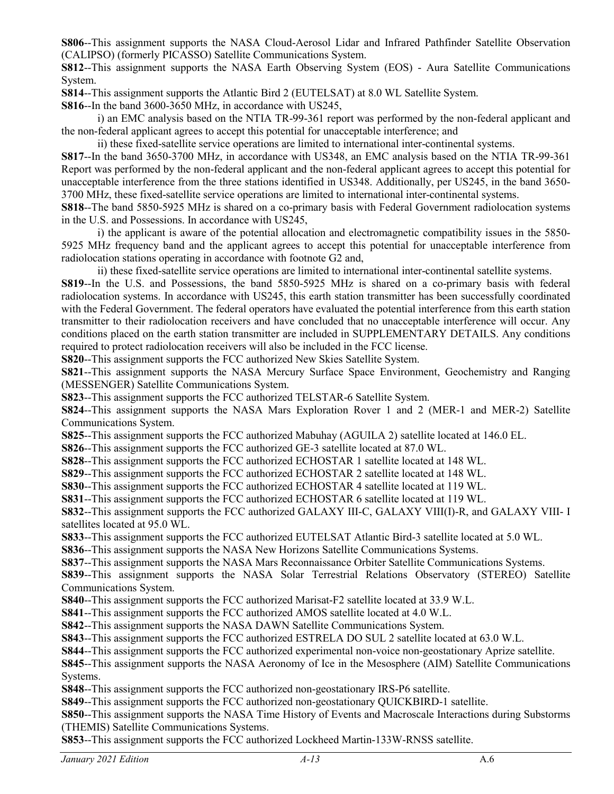**S806**--This assignment supports the NASA Cloud-Aerosol Lidar and Infrared Pathfinder Satellite Observation (CALIPSO) (formerly PICASSO) Satellite Communications System.

**S812**--This assignment supports the NASA Earth Observing System (EOS) - Aura Satellite Communications System.

**S814**--This assignment supports the Atlantic Bird 2 (EUTELSAT) at 8.0 WL Satellite System.

**S816**--In the band 3600-3650 MHz, in accordance with US245,

i) an EMC analysis based on the NTIA TR-99-361 report was performed by the non-federal applicant and the non-federal applicant agrees to accept this potential for unacceptable interference; and

ii) these fixed-satellite service operations are limited to international inter-continental systems.

**S817**--In the band 3650-3700 MHz, in accordance with US348, an EMC analysis based on the NTIA TR-99-361 Report was performed by the non-federal applicant and the non-federal applicant agrees to accept this potential for unacceptable interference from the three stations identified in US348. Additionally, per US245, in the band 3650- 3700 MHz, these fixed-satellite service operations are limited to international inter-continental systems.

**S818**--The band 5850-5925 MHz is shared on a co-primary basis with Federal Government radiolocation systems in the U.S. and Possessions. In accordance with US245,

i) the applicant is aware of the potential allocation and electromagnetic compatibility issues in the 5850- 5925 MHz frequency band and the applicant agrees to accept this potential for unacceptable interference from radiolocation stations operating in accordance with footnote G2 and,

ii) these fixed-satellite service operations are limited to international inter-continental satellite systems.

**S819**--In the U.S. and Possessions, the band 5850-5925 MHz is shared on a co-primary basis with federal radiolocation systems. In accordance with US245, this earth station transmitter has been successfully coordinated with the Federal Government. The federal operators have evaluated the potential interference from this earth station transmitter to their radiolocation receivers and have concluded that no unacceptable interference will occur. Any conditions placed on the earth station transmitter are included in SUPPLEMENTARY DETAILS. Any conditions required to protect radiolocation receivers will also be included in the FCC license.

**S820**--This assignment supports the FCC authorized New Skies Satellite System.

**S821**--This assignment supports the NASA Mercury Surface Space Environment, Geochemistry and Ranging (MESSENGER) Satellite Communications System.

**S823**--This assignment supports the FCC authorized TELSTAR-6 Satellite System.

**S824**--This assignment supports the NASA Mars Exploration Rover 1 and 2 (MER-1 and MER-2) Satellite Communications System.

**S825**--This assignment supports the FCC authorized Mabuhay (AGUILA 2) satellite located at 146.0 EL.

**S826**--This assignment supports the FCC authorized GE-3 satellite located at 87.0 WL.

**S828**--This assignment supports the FCC authorized ECHOSTAR 1 satellite located at 148 WL.

**S829**--This assignment supports the FCC authorized ECHOSTAR 2 satellite located at 148 WL.

**S830**--This assignment supports the FCC authorized ECHOSTAR 4 satellite located at 119 WL.

**S831**--This assignment supports the FCC authorized ECHOSTAR 6 satellite located at 119 WL.

**S832**--This assignment supports the FCC authorized GALAXY III-C, GALAXY VIII(I)-R, and GALAXY VIII- I satellites located at 95.0 WL.

**S833**--This assignment supports the FCC authorized EUTELSAT Atlantic Bird-3 satellite located at 5.0 WL.

**S836**--This assignment supports the NASA New Horizons Satellite Communications Systems.

**S837**--This assignment supports the NASA Mars Reconnaissance Orbiter Satellite Communications Systems.

**S839**--This assignment supports the NASA Solar Terrestrial Relations Observatory (STEREO) Satellite Communications System.

**S840**--This assignment supports the FCC authorized Marisat-F2 satellite located at 33.9 W.L.

**S841**--This assignment supports the FCC authorized AMOS satellite located at 4.0 W.L.

**S842**--This assignment supports the NASA DAWN Satellite Communications System.

**S843**--This assignment supports the FCC authorized ESTRELA DO SUL 2 satellite located at 63.0 W.L.

**S844**--This assignment supports the FCC authorized experimental non-voice non-geostationary Aprize satellite.

**S845**--This assignment supports the NASA Aeronomy of Ice in the Mesosphere (AIM) Satellite Communications Systems.

**S848**--This assignment supports the FCC authorized non-geostationary IRS-P6 satellite.

**S849**--This assignment supports the FCC authorized non-geostationary QUICKBIRD-1 satellite.

**S850**--This assignment supports the NASA Time History of Events and Macroscale Interactions during Substorms (THEMIS) Satellite Communications Systems.

**S853**--This assignment supports the FCC authorized Lockheed Martin-133W-RNSS satellite.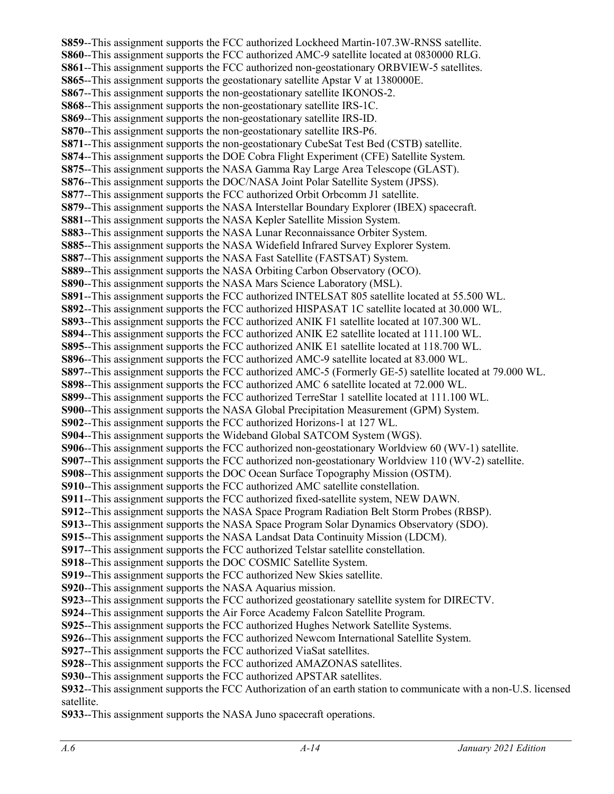**S859**--This assignment supports the FCC authorized Lockheed Martin-107.3W-RNSS satellite. **S860**--This assignment supports the FCC authorized AMC-9 satellite located at 0830000 RLG. **S861**--This assignment supports the FCC authorized non-geostationary ORBVIEW-5 satellites. **S865**--This assignment supports the geostationary satellite Apstar V at 1380000E. **S867**--This assignment supports the non-geostationary satellite IKONOS-2. **S868**--This assignment supports the non-geostationary satellite IRS-1C. **S869**--This assignment supports the non-geostationary satellite IRS-ID. **S870**--This assignment supports the non-geostationary satellite IRS-P6. **S871**--This assignment supports the non-geostationary CubeSat Test Bed (CSTB) satellite. **S874**--This assignment supports the DOE Cobra Flight Experiment (CFE) Satellite System. **S875**--This assignment supports the NASA Gamma Ray Large Area Telescope (GLAST). **S876**--This assignment supports the DOC/NASA Joint Polar Satellite System (JPSS). **S877**--This assignment supports the FCC authorized Orbit Orbcomm J1 satellite. **S879**--This assignment supports the NASA Interstellar Boundary Explorer (IBEX) spacecraft. **S881**--This assignment supports the NASA Kepler Satellite Mission System. **S883**--This assignment supports the NASA Lunar Reconnaissance Orbiter System. **S885**--This assignment supports the NASA Widefield Infrared Survey Explorer System. **S887**--This assignment supports the NASA Fast Satellite (FASTSAT) System. **S889**--This assignment supports the NASA Orbiting Carbon Observatory (OCO). **S890**--This assignment supports the NASA Mars Science Laboratory (MSL). **S891**--This assignment supports the FCC authorized INTELSAT 805 satellite located at 55.500 WL. **S892**--This assignment supports the FCC authorized HISPASAT 1C satellite located at 30.000 WL. **S893**--This assignment supports the FCC authorized ANIK F1 satellite located at 107.300 WL. **S894**--This assignment supports the FCC authorized ANIK E2 satellite located at 111.100 WL. **S895**--This assignment supports the FCC authorized ANIK E1 satellite located at 118.700 WL. **S896**--This assignment supports the FCC authorized AMC-9 satellite located at 83.000 WL. **S897**--This assignment supports the FCC authorized AMC-5 (Formerly GE-5) satellite located at 79.000 WL. **S898**--This assignment supports the FCC authorized AMC 6 satellite located at 72.000 WL. **S899**--This assignment supports the FCC authorized TerreStar 1 satellite located at 111.100 WL. **S900**--This assignment supports the NASA Global Precipitation Measurement (GPM) System. **S902**--This assignment supports the FCC authorized Horizons-1 at 127 WL. **S904**--This assignment supports the Wideband Global SATCOM System (WGS). **S906**--This assignment supports the FCC authorized non-geostationary Worldview 60 (WV-1) satellite. **S907**--This assignment supports the FCC authorized non-geostationary Worldview 110 (WV-2) satellite. **S908**--This assignment supports the DOC Ocean Surface Topography Mission (OSTM). **S910**--This assignment supports the FCC authorized AMC satellite constellation. **S911**--This assignment supports the FCC authorized fixed-satellite system, NEW DAWN. **S912**--This assignment supports the NASA Space Program Radiation Belt Storm Probes (RBSP). **S913**--This assignment supports the NASA Space Program Solar Dynamics Observatory (SDO). **S915**--This assignment supports the NASA Landsat Data Continuity Mission (LDCM). **S917**--This assignment supports the FCC authorized Telstar satellite constellation. **S918**--This assignment supports the DOC COSMIC Satellite System. **S919**--This assignment supports the FCC authorized New Skies satellite. **S920**--This assignment supports the NASA Aquarius mission. **S923**--This assignment supports the FCC authorized geostationary satellite system for DIRECTV. **S924**--This assignment supports the Air Force Academy Falcon Satellite Program. **S925**--This assignment supports the FCC authorized Hughes Network Satellite Systems. **S926**--This assignment supports the FCC authorized Newcom International Satellite System. **S927**--This assignment supports the FCC authorized ViaSat satellites. **S928**--This assignment supports the FCC authorized AMAZONAS satellites. **S930**--This assignment supports the FCC authorized APSTAR satellites. **S932**--This assignment supports the FCC Authorization of an earth station to communicate with a non-U.S. licensed satellite.

**S933**--This assignment supports the NASA Juno spacecraft operations.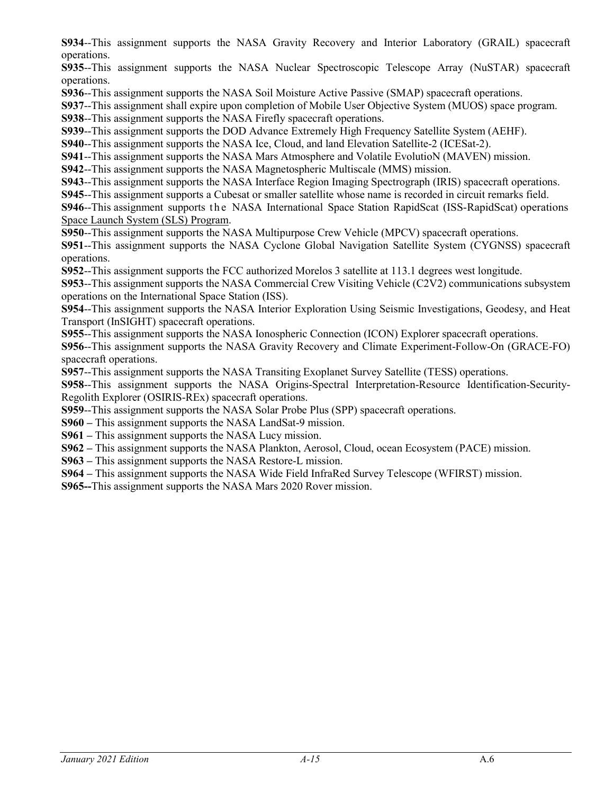**S934**--This assignment supports the NASA Gravity Recovery and Interior Laboratory (GRAIL) spacecraft operations.

**S935**--This assignment supports the NASA Nuclear Spectroscopic Telescope Array (NuSTAR) spacecraft operations.

**S936**--This assignment supports the NASA Soil Moisture Active Passive (SMAP) spacecraft operations.

**S937**--This assignment shall expire upon completion of Mobile User Objective System (MUOS) space program.

**S938**--This assignment supports the NASA Firefly spacecraft operations.

**S939**--This assignment supports the DOD Advance Extremely High Frequency Satellite System (AEHF).

**S940**--This assignment supports the NASA Ice, Cloud, and land Elevation Satellite-2 (ICESat-2).

**S941**--This assignment supports the NASA Mars Atmosphere and Volatile EvolutioN (MAVEN) mission.

**S942**--This assignment supports the NASA Magnetospheric Multiscale (MMS) mission.

**S943**--This assignment supports the NASA Interface Region Imaging Spectrograph (IRIS) spacecraft operations.

**S945**--This assignment supports a Cubesat or smaller satellite whose name is recorded in circuit remarks field.

**S946**--This assignment supports the NASA International Space Station RapidScat (ISS-RapidScat) operations Space Launch System (SLS) Program.

**S950**--This assignment supports the NASA Multipurpose Crew Vehicle (MPCV) spacecraft operations.

**S951**--This assignment supports the NASA Cyclone Global Navigation Satellite System (CYGNSS) spacecraft operations.

**S952**--This assignment supports the FCC authorized Morelos 3 satellite at 113.1 degrees west longitude.

**S953**--This assignment supports the NASA Commercial Crew Visiting Vehicle (C2V2) communications subsystem operations on the International Space Station (ISS).

**S954**--This assignment supports the NASA Interior Exploration Using Seismic Investigations, Geodesy, and Heat Transport (InSIGHT) spacecraft operations.

**S955**--This assignment supports the NASA Ionospheric Connection (ICON) Explorer spacecraft operations.

**S956**--This assignment supports the NASA Gravity Recovery and Climate Experiment-Follow-On (GRACE-FO) spacecraft operations.

**S957**--This assignment supports the NASA Transiting Exoplanet Survey Satellite (TESS) operations.

**S958**--This assignment supports the NASA Origins-Spectral Interpretation-Resource Identification-Security-Regolith Explorer (OSIRIS-REx) spacecraft operations.

**S959**--This assignment supports the NASA Solar Probe Plus (SPP) spacecraft operations.

**S960 –** This assignment supports the NASA LandSat-9 mission.

**S961 –** This assignment supports the NASA Lucy mission.

**S962 –** This assignment supports the NASA Plankton, Aerosol, Cloud, ocean Ecosystem (PACE) mission.

**S963 –** This assignment supports the NASA Restore-L mission.

**S964 –** This assignment supports the NASA Wide Field InfraRed Survey Telescope (WFIRST) mission.

**S965--**This assignment supports the NASA Mars 2020 Rover mission.